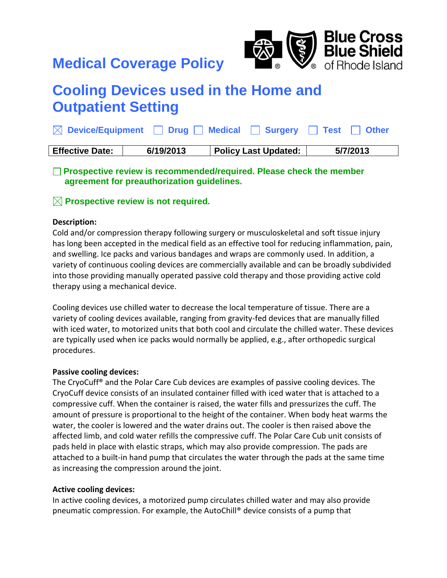# **Medical Coverage Policy**



# **Cooling Devices used in the Home and Outpatient Setting**

|                        |           | $\boxtimes$ Device/Equipment $\Box$ Drug $\Box$ Medical $\Box$ Surgery $\Box$ Test $\Box$ Other |          |
|------------------------|-----------|-------------------------------------------------------------------------------------------------|----------|
| <b>Effective Date:</b> | 6/19/2013 | <b>Policy Last Updated:</b>                                                                     | 5/7/2013 |

**Prospective review is recommended/required. Please check the member agreement for preauthorization guidelines.**

# **Prospective review is not required.**

#### **Description:**

Cold and/or compression therapy following surgery or musculoskeletal and soft tissue injury has long been accepted in the medical field as an effective tool for reducing inflammation, pain, and swelling. Ice packs and various bandages and wraps are commonly used. In addition, a variety of continuous cooling devices are commercially available and can be broadly subdivided into those providing manually operated passive cold therapy and those providing active cold therapy using a mechanical device.

Cooling devices use chilled water to decrease the local temperature of tissue. There are a variety of cooling devices available, ranging from gravity-fed devices that are manually filled with iced water, to motorized units that both cool and circulate the chilled water. These devices are typically used when ice packs would normally be applied, e.g., after orthopedic surgical procedures.

# **Passive cooling devices:**

The CryoCuff® and the Polar Care Cub devices are examples of passive cooling devices. The CryoCuff device consists of an insulated container filled with iced water that is attached to a compressive cuff. When the container is raised, the water fills and pressurizes the cuff. The amount of pressure is proportional to the height of the container. When body heat warms the water, the cooler is lowered and the water drains out. The cooler is then raised above the affected limb, and cold water refills the compressive cuff. The Polar Care Cub unit consists of pads held in place with elastic straps, which may also provide compression. The pads are attached to a built-in hand pump that circulates the water through the pads at the same time as increasing the compression around the joint.

# **Active cooling devices:**

In active cooling devices, a motorized pump circulates chilled water and may also provide pneumatic compression. For example, the AutoChill® device consists of a pump that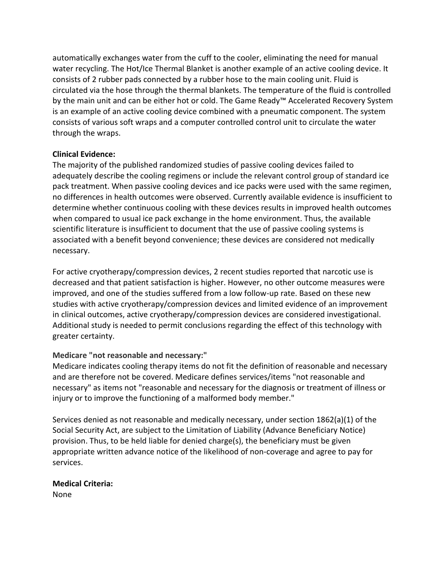automatically exchanges water from the cuff to the cooler, eliminating the need for manual water recycling. The Hot/Ice Thermal Blanket is another example of an active cooling device. It consists of 2 rubber pads connected by a rubber hose to the main cooling unit. Fluid is circulated via the hose through the thermal blankets. The temperature of the fluid is controlled by the main unit and can be either hot or cold. The Game Ready™ Accelerated Recovery System is an example of an active cooling device combined with a pneumatic component. The system consists of various soft wraps and a computer controlled control unit to circulate the water through the wraps.

#### **Clinical Evidence:**

The majority of the published randomized studies of passive cooling devices failed to adequately describe the cooling regimens or include the relevant control group of standard ice pack treatment. When passive cooling devices and ice packs were used with the same regimen, no differences in health outcomes were observed. Currently available evidence is insufficient to determine whether continuous cooling with these devices results in improved health outcomes when compared to usual ice pack exchange in the home environment. Thus, the available scientific literature is insufficient to document that the use of passive cooling systems is associated with a benefit beyond convenience; these devices are considered not medically necessary.

For active cryotherapy/compression devices, 2 recent studies reported that narcotic use is decreased and that patient satisfaction is higher. However, no other outcome measures were improved, and one of the studies suffered from a low follow-up rate. Based on these new studies with active cryotherapy/compression devices and limited evidence of an improvement in clinical outcomes, active cryotherapy/compression devices are considered investigational. Additional study is needed to permit conclusions regarding the effect of this technology with greater certainty.

# **Medicare "not reasonable and necessary:"**

Medicare indicates cooling therapy items do not fit the definition of reasonable and necessary and are therefore not be covered. Medicare defines services/items "not reasonable and necessary" as items not "reasonable and necessary for the diagnosis or treatment of illness or injury or to improve the functioning of a malformed body member."

Services denied as not reasonable and medically necessary, under section 1862(a)(1) of the Social Security Act, are subject to the Limitation of Liability (Advance Beneficiary Notice) provision. Thus, to be held liable for denied charge(s), the beneficiary must be given appropriate written advance notice of the likelihood of non-coverage and agree to pay for services.

# **Medical Criteria:**

None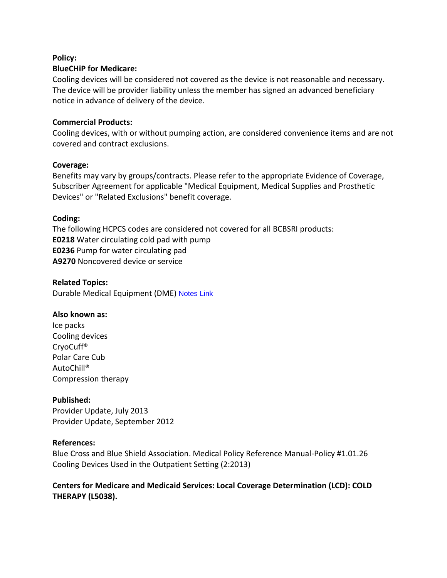#### **Policy:**

#### **BlueCHiP for Medicare:**

Cooling devices will be considered not covered as the device is not reasonable and necessary. The device will be provider liability unless the member has signed an advanced beneficiary notice in advance of delivery of the device.

#### **Commercial Products:**

Cooling devices, with or without pumping action, are considered convenience items and are not covered and contract exclusions.

#### **Coverage:**

Benefits may vary by groups/contracts. Please refer to the appropriate Evidence of Coverage, Subscriber Agreement for applicable "Medical Equipment, Medical Supplies and Prosthetic Devices" or "Related Exclusions" benefit coverage.

# **Coding:**

The following HCPCS codes are considered not covered for all BCBSRI products: **E0218** Water circulating cold pad with pump **E0236** Pump for water circulating pad **A9270** Noncovered device or service

**Related Topics:** Durable Medical Equipment (DME) [Notes Link](notes:///852567600061B33D/7A27C57E2600D054852568A9007363E9/309A326AB00CCC8885257991004E7D71)

# **Also known as:**

Ice packs Cooling devices CryoCuff® Polar Care Cub AutoChill® Compression therapy

# **Published:**

Provider Update, July 2013 Provider Update, September 2012

# **References:**

Blue Cross and Blue Shield Association. Medical Policy Reference Manual-Policy #1.01.26 Cooling Devices Used in the Outpatient Setting (2:2013)

# **Centers for Medicare and Medicaid Services: Local Coverage Determination (LCD): COLD THERAPY (L5038).**